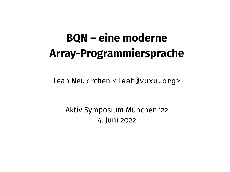# **BQN – eine moderne Array-Programmiersprache**

Leah Neukirchen [<leah@vuxu.org>](mailto:leah@vuxu.org)

Aktiv Symposium München '22 4. Juni 2022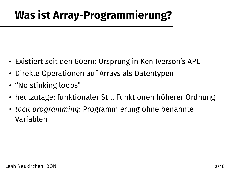## **Was ist Array-Programmierung?**

- Existiert seit den 60ern: Ursprung in Ken Iverson's APL
- Direkte Operationen auf Arrays als Datentypen
- "No stinking loops"
- heutzutage: funktionaler Stil, Funktionen höherer Ordnung
- *tacit programming*: Programmierung ohne benannte Variablen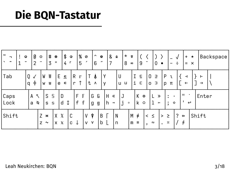## Die BQN-Tastatur

| ∣ ~<br>┑<br>$\tilde{\phantom{a}}$<br>$\sim$ | 0<br>$\odot$<br>$\check{ }$<br>$\overline{2}$ | $_{\odot}$<br>$\bullet\bullet$ | #<br>3           | ⊕<br>$\equiv$                          | \$ ⊕<br>4г     | % ⊘<br>5          | $\hat{\phantom{a}}$<br>╭<br>6          | $\bullet$<br>$\overline{\phantom{a}}$ | &                                      | $\star$<br>$\pmb{\Phi}$<br>8 | $\overline{\Phi}$<br>$\infty$ | 9                              | $\mathbf{0}$                             | $\bullet$               | ÷                                     | $+$<br>$=$                                     | $\star$<br>$\times$ | Backspace                 |
|---------------------------------------------|-----------------------------------------------|--------------------------------|------------------|----------------------------------------|----------------|-------------------|----------------------------------------|---------------------------------------|----------------------------------------|------------------------------|-------------------------------|--------------------------------|------------------------------------------|-------------------------|---------------------------------------|------------------------------------------------|---------------------|---------------------------|
| Tab                                         | Q<br>√<br>φ<br>q                              | W<br>W                         | W<br>W           | $E \subseteq$<br>$\in$<br>e            | R<br>r         | r<br>↑            | T.<br>4<br>t<br>Λ                      | Y<br>y                                |                                        | U<br>'u ⊔                    | I.<br>i                       | Ε<br>Е                         | 0<br>Е<br>$\Box$<br>$\circ$              | P<br>p                  | ι<br>π                                | $\overline{ }$<br>$\leftarrow$                 |                     | $\vdash$<br>$\rightarrow$ |
| Caps<br>Lock                                | A<br>a                                        | $\tilde{\mathcal{L}}$<br>ø     | S<br>S<br>S<br>s | D<br>d                                 | $\updownarrow$ | F<br>F.<br>f<br>f | G<br>g                                 | G<br>g                                | H<br>《<br>h<br>$\mathbf{-} \mathbf{o}$ | J<br>j                       | $\circ$                       | K<br>$\bullet$<br>k<br>$\circ$ |                                          | $\mathcal{P}$<br>$\sim$ | ٠<br>$\bullet$<br>$\bullet$<br>♦<br>٠ | $\mathbf{H}$<br>$\bullet$<br>$\leftrightarrow$ |                     | Enter                     |
| Shift                                       |                                               | Z<br>z                         | M<br>4           | X<br>X<br>$\mathbb{X}$<br>$\mathsf{x}$ | С<br>C         | ↓                 | Å<br>V<br>$\mathsf{v}$<br>$\mathsf{V}$ | B<br>b                                |                                        | N<br>n                       | $M \neq$<br>m                 | $\equiv$                       | $\leq$<br>$\lt$<br>$\boldsymbol{\omega}$ | $\geq$<br>$\asymp$      | ?<br>≥                                | $\Leftarrow$<br>ŧ                              |                     | Shift                     |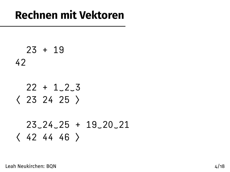#### **Rechnen mit Vektoren**

23 + 19 42  $22 + 1.2.3$ ⟨ 23 24 25 ⟩ 23‿24‿25 + 19‿20‿21 ⟨ 42 44 46 ⟩

Leah Neukirchen: BQN 4/18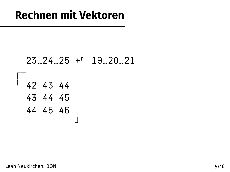#### 23‿24‿25 +⌜ 19‿20‿21

┘

╵ 42 43 44 43 44 45 44 45 46

┌─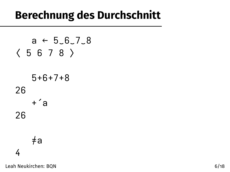### **Berechnung des Durchschnitt**

$$
a \leftarrow 5.6.7.8
$$
  

$$
\langle 5 6 7 8 \rangle
$$
  

$$
5 + 6 + 7 + 8
$$
  

$$
26
$$
  

$$
+ 4
$$
  

$$
4
$$
  

$$
4
$$

Leah Neukirchen: BQN 6/18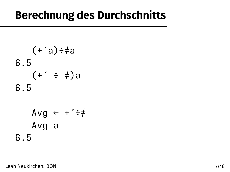#### **Berechnung des Durchschnitts**

$$
(+a) \div a
$$
  
6.5  

$$
(+ \div \div a)
$$
  
6.5  
Avg  $\leftarrow$  +  $\div$  +  
Avg a  
6.5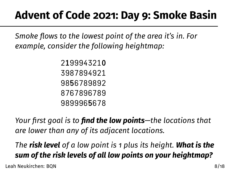## **Advent of Code 2021: Day 9: Smoke Basin**

*Smoke flows to the lowest point of the area it's in. For example, consider the following heightmap:*

*Your first goal is to find the low points—the locations that are lower than any of its adjacent locations.*

*The risk level of a low point is 1 plus its height. What is the sum of the risk levels of all low points on your heightmap?*

Leah Neukirchen: BQN 8/18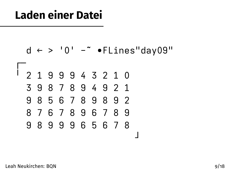### **Laden einer Datei**

$$
d \leftarrow > '0' - \text{ "Flines"day09"}
$$

╵ 2 1 9 9 9 4 3 2 1 0 3 9 8 7 8 9 4 9 2 1 9 8 5 6 7 8 9 8 9 2 8 7 6 7 8 9 6 7 8 9 9 8 9 9 9 6 5 6 7 8

┘

Leah Neukirchen: BQN 9/18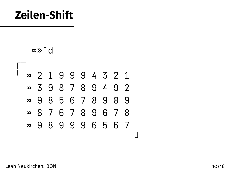### **Zeilen-Shift**

∞»˘d



Leah Neukirchen: BQN 10/18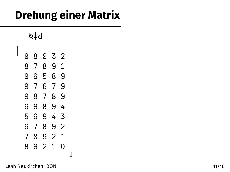# **Drehung einer Matrix**

┘

⍉⌽d

| 9 | 8 | 9 | 3 | 2 |
|---|---|---|---|---|
| 8 | 7 | 8 | 9 | 1 |
| 9 | 6 | 5 | 8 | 9 |
| 9 | 7 | 6 | 7 | 9 |
| 9 | 8 | 7 | 8 | 9 |
| 6 | 9 | 8 | 9 | 4 |
| 5 | 6 | 9 | 4 | 3 |
| 6 | 7 | 8 | 9 | 2 |
| 7 | 8 | 9 | 2 | 1 |
| 8 | ٩ | 2 | 1 | ი |
|   |   |   |   |   |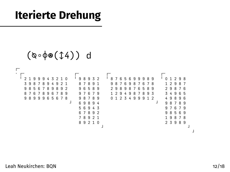## **Iterierte Drehung**

```
(⍉∘⌽⍟(↕4)) d
┌─
· ┌─ ┌─ ┌─ ┌─
 ╵ 2 1 9 9 9 4 3 2 1 0 ╵ 9 8 9 3 2 ╵ 8 7 6 5 6 9 9 9 8 9 ╵ 0 1 2 9 8
  3 9 8 7 8 9 4 9 2 1 8 7 8 9 1 9 8 7 6 9 8 7 6 7 8 1 2 9 8 7
  9 8 5 6 7 8 9 8 9 2 9 6 5 8 9 2 9 8 9 8 7 6 5 8 9 2 9 8 7 6
  8 7 6 7 8 9 6 7 8 9 9 7 6 7 9 1 2 9 4 9 8 7 8 9 3 3 4 9 6 5
  9 8 9 9 9 6 5 6 7 8 9 8 7 8 9 0 1 2 3 4 9 9 9 1 2 4 9 8 9 6
               ┘ 6 9 8 9 4 ┘ 9 8 7 8 9
                  5 6 9 4 3 9 7 6 7 9
                  6 7 8 9 2 9 8 5 6 9
                 7 8 9 2 1 1 9 8 7 8 9 2 1 2 3 9 8 9
                        \frac{1}{2} 2 3 9 8 9
                        ┘ ┘
```
┘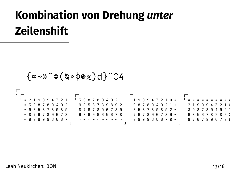# **Kombination von Drehung** *unter* **Zeilenshift**

{∞⊸»˘⌾(⍉∘⌽⍟)d}¨↕4

┌─<br>・┌──────── ┌──────── ┌─────────── ╵ ∞ 2 1 9 9 9 4 3 2 1 ╵ 3 9 8 7 8 9 4 9 2 1 ╵ 1 9 9 9 4 3 2 1 0 ∞ ╵ ∞ ∞ ∞ ∞ ∞ ∞ ∞ ∞ ∞ ∞ ∞ 3 9 8 7 8 9 4 9 2 9 8 5 6 7 8 9 8 9 2 9 8 7 8 9 4 9 2 1 ∞ 2 1 9 9 9 4 3 2 1 0 ∞ 9 8 5 6 7 8 9 8 9 8 7 6 7 8 9 6 7 8 9 8 5 6 7 8 9 8 9 2 ∞ 3 9 8 7 8 9 4 9 2 1 ∞ 8 7 6 7 8 9 6 7 8 9 8 9 9 9 6 5 6 7 8 7 6 7 8 9 6 7 8 9 ∞ 9 8 5 6 7 8 9 8 9 2 ∞ 9 8 9 9 9 6 5 6 7 ∞ ∞ ∞ ∞ ∞ ∞ ∞ ∞ ∞ ∞ 8 9 9 9 6 5 6 7 8 ∞ 8 7 6 7 8 9 6 7 8 9 ┘ ┘ ┘ ┘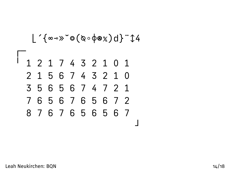⌊´{∞⊸»˘⌾(⍉∘⌽⍟)d}¨↕4

┌─ ╵ 1 2 1 7 4 3 2 1 0 1 2 1 5 6 7 4 3 2 1 0 3 5 6 5 6 7 4 7 2 1 7 6 5 6 7 6 5 6 7 2 8 7 6 7 6 5 6 5 6 7 ┘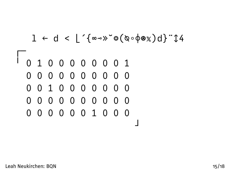$$
1 \leftarrow d < \lfloor \text{``\texttt{>}\texttt{>}\texttt{>}\texttt{>}\texttt{>}\texttt{>}\texttt{>}\texttt{>}\texttt{>}\texttt{>}\texttt{>}\texttt{>}\texttt{>}\texttt{>}\texttt{>}\texttt{>}\texttt{>}\texttt{>}\texttt{>}\texttt{>}\texttt{>}\texttt{>}\texttt{>}\texttt{>}\texttt{>}\texttt{>}\texttt{>}\texttt{>}\texttt{>}\texttt{>}\texttt{>}\texttt{>}\texttt{>}\texttt{>}\texttt{>}\texttt{>}\texttt{>}\texttt{>}\texttt{>}\texttt{>}\texttt{>}\texttt{>}\texttt{>}\texttt{>}\texttt{>}\texttt{>}\texttt{>}\texttt{>}\texttt{>}\texttt{>}\texttt{>}\texttt{>}\texttt{>}\texttt{>}\texttt{>}\texttt{>}\texttt{>}\texttt{>}\texttt{>}\texttt{>}\texttt{>}\texttt{>}\texttt{>}\texttt{>}\texttt{>}\texttt{>}\texttt{>}\texttt{>}\texttt{>}\texttt{>}\texttt{>}\texttt{>}\texttt{>}\texttt{>}\texttt{>}\texttt{>}\texttt{>}\texttt{>}\texttt{>}\texttt{>}\texttt{>}\texttt{>}\texttt{>}\texttt{>}\texttt{>}\texttt{>}\texttt{>}\texttt{>}\texttt{>}\texttt{>}\texttt{>}\texttt{>}\texttt{>}\texttt{>}\texttt{>}\texttt{>}\texttt{>}\texttt{>}\texttt{>}\texttt{>}\texttt{>}\texttt{>}\texttt{>}\texttt{>}\texttt{>}\texttt{>}\text
$$

╵ 0 1 0 0 0 0 0 0 0 1 0 0 0 0 0 0 0 0 0 0 0 0 1 0 0 0 0 0 0 0 0 0 0 0 0 0 0 0 0 0 0 0 0 0 0 0 1 0 0 0 ┘

┌─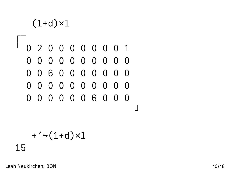#### $(1+d)\times1$

#### ├ ╵ 0 2 0 0 0 0 0 0 0 1 0 0 0 0 0 0 0 0 0 0 0 0 6 0 0 0 0 0 0 0 0 0 0 0 0 0 0 0 0 0 0 0 0 0 0 0 6 0 0 0 ┘

#### $+^2$  (1+d)×l 15

Leah Neukirchen: BQN 16/18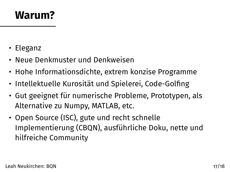#### **Warum?**

- Eleganz
- Neue Denkmuster und Denkweisen
- Hohe Informationsdichte, extrem konzise Programme
- Intellektuelle Kurosität und Spielerei, Code-Golfing
- Gut geeignet für numerische Probleme, Prototypen, als Alternative zu Numpy, MATLAB, etc.
- Open Source (ISC), gute und recht schnelle Implementierung (CBQN), ausführliche Doku, nette und hilfreiche Community